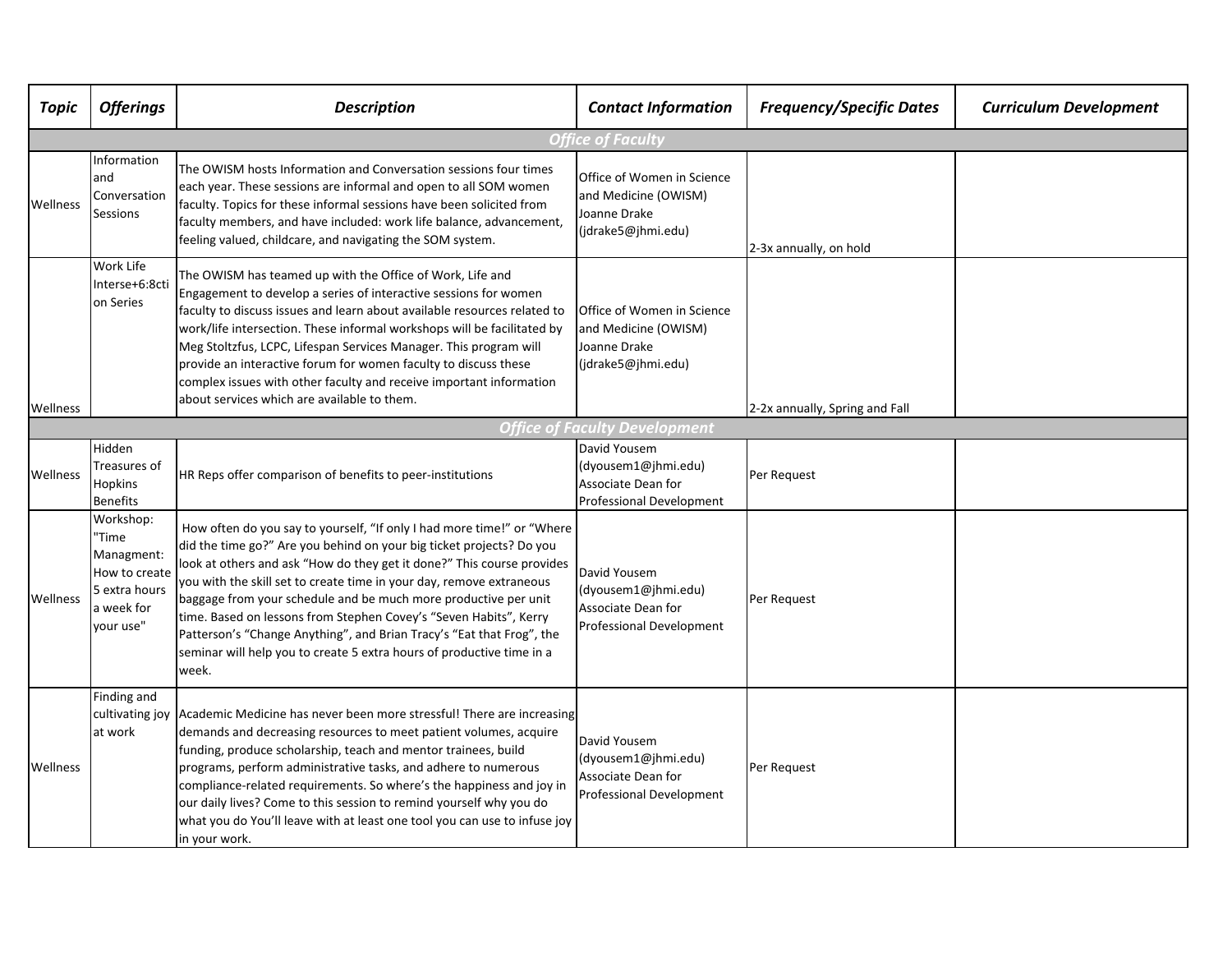| <b>Topic</b>             | <b>Offerings</b>                                                                              | <b>Description</b>                                                                                                                                                                                                                                                                                                                                                                                                                                                                                                                                                                                  | <b>Contact Information</b>                                                                   | <b>Frequency/Specific Dates</b> | <b>Curriculum Development</b> |  |  |  |  |
|--------------------------|-----------------------------------------------------------------------------------------------|-----------------------------------------------------------------------------------------------------------------------------------------------------------------------------------------------------------------------------------------------------------------------------------------------------------------------------------------------------------------------------------------------------------------------------------------------------------------------------------------------------------------------------------------------------------------------------------------------------|----------------------------------------------------------------------------------------------|---------------------------------|-------------------------------|--|--|--|--|
| <b>Office of Faculty</b> |                                                                                               |                                                                                                                                                                                                                                                                                                                                                                                                                                                                                                                                                                                                     |                                                                                              |                                 |                               |  |  |  |  |
| Wellness                 | Information<br>and<br>Conversation<br>Sessions                                                | The OWISM hosts Information and Conversation sessions four times<br>each year. These sessions are informal and open to all SOM women<br>faculty. Topics for these informal sessions have been solicited from<br>faculty members, and have included: work life balance, advancement,<br>feeling valued, childcare, and navigating the SOM system.                                                                                                                                                                                                                                                    | Office of Women in Science<br>and Medicine (OWISM)<br>Joanne Drake<br>(jdrake5@jhmi.edu)     | 2-3x annually, on hold          |                               |  |  |  |  |
| Wellness                 | Work Life<br>Interse+6:8cti<br>on Series                                                      | The OWISM has teamed up with the Office of Work, Life and<br>Engagement to develop a series of interactive sessions for women<br>faculty to discuss issues and learn about available resources related to<br>work/life intersection. These informal workshops will be facilitated by<br>Meg Stoltzfus, LCPC, Lifespan Services Manager. This program will<br>provide an interactive forum for women faculty to discuss these<br>complex issues with other faculty and receive important information<br>about services which are available to them.                                                  | Office of Women in Science<br>and Medicine (OWISM)<br>Joanne Drake<br>(jdrake5@jhmi.edu)     | 2-2x annually, Spring and Fall  |                               |  |  |  |  |
|                          |                                                                                               |                                                                                                                                                                                                                                                                                                                                                                                                                                                                                                                                                                                                     | <b>Office of Faculty Development</b>                                                         |                                 |                               |  |  |  |  |
| Wellness                 | Hidden<br>Treasures of<br>Hopkins<br><b>Benefits</b>                                          | HR Reps offer comparison of benefits to peer-institutions                                                                                                                                                                                                                                                                                                                                                                                                                                                                                                                                           | David Yousem<br>(dyousem1@jhmi.edu)<br>Associate Dean for<br><b>Professional Development</b> | Per Request                     |                               |  |  |  |  |
| Wellness                 | Workshop:<br>'Time<br>Managment:<br>How to create<br>5 extra hours<br>a week for<br>vour use" | How often do you say to yourself, "If only I had more time!" or "Where<br>did the time go?" Are you behind on your big ticket projects? Do you<br>look at others and ask "How do they get it done?" This course provides<br>you with the skill set to create time in your day, remove extraneous<br>baggage from your schedule and be much more productive per unit<br>time. Based on lessons from Stephen Covey's "Seven Habits", Kerry<br>Patterson's "Change Anything", and Brian Tracy's "Eat that Frog", the<br>seminar will help you to create 5 extra hours of productive time in a<br>week. | David Yousem<br>(dyousem1@jhmi.edu)<br>Associate Dean for<br>Professional Development        | Per Request                     |                               |  |  |  |  |
| Wellness                 | Finding and<br>at work                                                                        | cultivating joy Academic Medicine has never been more stressful! There are increasing<br>demands and decreasing resources to meet patient volumes, acquire<br>funding, produce scholarship, teach and mentor trainees, build<br>programs, perform administrative tasks, and adhere to numerous<br>compliance-related requirements. So where's the happiness and joy in<br>our daily lives? Come to this session to remind yourself why you do<br>what you do You'll leave with at least one tool you can use to infuse joy<br>in your work.                                                         | David Yousem<br>(dyousem1@jhmi.edu)<br>Associate Dean for<br>Professional Development        | Per Request                     |                               |  |  |  |  |